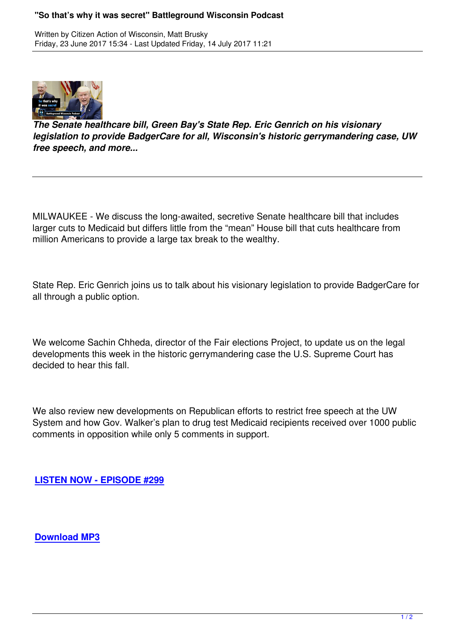

*The Senate healthcare bill, Green Bay's State Rep. Eric Genrich on his visionary legislation to provide BadgerCare for all, Wisconsin's historic gerrymandering case, UW free speech, and more...*

MILWAUKEE - We discuss the long-awaited, secretive Senate healthcare bill that includes larger cuts to Medicaid but differs little from the "mean" House bill that cuts healthcare from million Americans to provide a large tax break to the wealthy.

State Rep. Eric Genrich joins us to talk about his visionary legislation to provide BadgerCare for all through a public option.

We welcome Sachin Chheda, director of the Fair elections Project, to update us on the legal developments this week in the historic gerrymandering case the U.S. Supreme Court has decided to hear this fall.

We also review new developments on Republican efforts to restrict free speech at the UW System and how Gov. Walker's plan to drug test Medicaid recipients received over 1000 public comments in opposition while only 5 comments in support.

**LISTEN NOW - EPISODE #299**

**Download MP3**